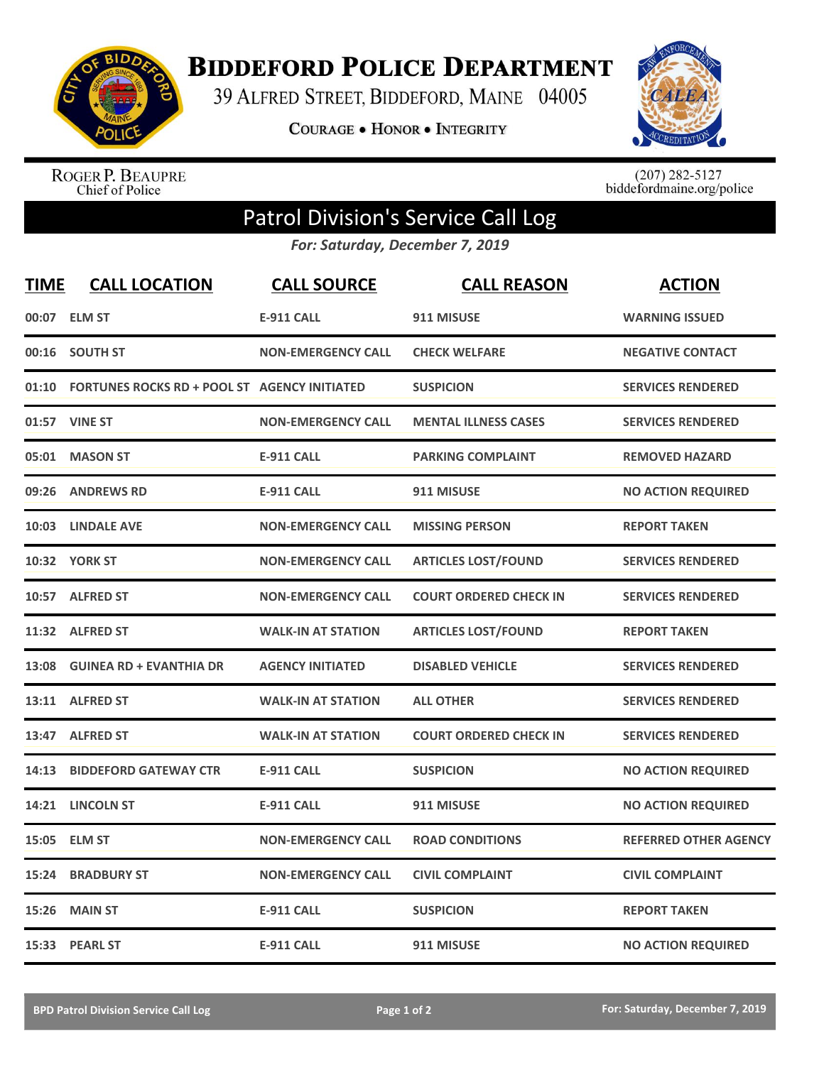

**BIDDEFORD POLICE DEPARTMENT** 

39 ALFRED STREET, BIDDEFORD, MAINE 04005

**COURAGE . HONOR . INTEGRITY** 



ROGER P. BEAUPRE<br>Chief of Police

 $(207)$  282-5127<br>biddefordmaine.org/police

## Patrol Division's Service Call Log

*For: Saturday, December 7, 2019*

| <b>TIME</b> | <b>CALL LOCATION</b>                                | <b>CALL SOURCE</b>        | <b>CALL REASON</b>            | <b>ACTION</b>                |
|-------------|-----------------------------------------------------|---------------------------|-------------------------------|------------------------------|
| 00:07       | <b>ELM ST</b>                                       | <b>E-911 CALL</b>         | 911 MISUSE                    | <b>WARNING ISSUED</b>        |
| 00:16       | <b>SOUTH ST</b>                                     | <b>NON-EMERGENCY CALL</b> | <b>CHECK WELFARE</b>          | <b>NEGATIVE CONTACT</b>      |
| 01:10       | <b>FORTUNES ROCKS RD + POOL ST AGENCY INITIATED</b> |                           | <b>SUSPICION</b>              | <b>SERVICES RENDERED</b>     |
|             | 01:57 VINE ST                                       | <b>NON-EMERGENCY CALL</b> | <b>MENTAL ILLNESS CASES</b>   | <b>SERVICES RENDERED</b>     |
| 05:01       | <b>MASON ST</b>                                     | <b>E-911 CALL</b>         | <b>PARKING COMPLAINT</b>      | <b>REMOVED HAZARD</b>        |
| 09:26       | <b>ANDREWS RD</b>                                   | <b>E-911 CALL</b>         | 911 MISUSE                    | <b>NO ACTION REQUIRED</b>    |
|             | 10:03 LINDALE AVE                                   | <b>NON-EMERGENCY CALL</b> | <b>MISSING PERSON</b>         | <b>REPORT TAKEN</b>          |
|             | 10:32 YORK ST                                       | <b>NON-EMERGENCY CALL</b> | <b>ARTICLES LOST/FOUND</b>    | <b>SERVICES RENDERED</b>     |
|             | 10:57 ALFRED ST                                     | <b>NON-EMERGENCY CALL</b> | <b>COURT ORDERED CHECK IN</b> | <b>SERVICES RENDERED</b>     |
|             | 11:32 ALFRED ST                                     | <b>WALK-IN AT STATION</b> | <b>ARTICLES LOST/FOUND</b>    | <b>REPORT TAKEN</b>          |
| 13:08       | <b>GUINEA RD + EVANTHIA DR</b>                      | <b>AGENCY INITIATED</b>   | <b>DISABLED VEHICLE</b>       | <b>SERVICES RENDERED</b>     |
| 13:11       | <b>ALFRED ST</b>                                    | <b>WALK-IN AT STATION</b> | <b>ALL OTHER</b>              | <b>SERVICES RENDERED</b>     |
| 13:47       | <b>ALFRED ST</b>                                    | <b>WALK-IN AT STATION</b> | <b>COURT ORDERED CHECK IN</b> | <b>SERVICES RENDERED</b>     |
| 14:13       | <b>BIDDEFORD GATEWAY CTR</b>                        | <b>E-911 CALL</b>         | <b>SUSPICION</b>              | <b>NO ACTION REQUIRED</b>    |
| 14:21       | <b>LINCOLN ST</b>                                   | <b>E-911 CALL</b>         | 911 MISUSE                    | <b>NO ACTION REQUIRED</b>    |
| 15:05       | <b>ELM ST</b>                                       | <b>NON-EMERGENCY CALL</b> | <b>ROAD CONDITIONS</b>        | <b>REFERRED OTHER AGENCY</b> |
| 15:24       | <b>BRADBURY ST</b>                                  | <b>NON-EMERGENCY CALL</b> | <b>CIVIL COMPLAINT</b>        | <b>CIVIL COMPLAINT</b>       |
| 15:26       | <b>MAIN ST</b>                                      | <b>E-911 CALL</b>         | <b>SUSPICION</b>              | <b>REPORT TAKEN</b>          |
|             | 15:33 PEARL ST                                      | <b>E-911 CALL</b>         | 911 MISUSE                    | <b>NO ACTION REQUIRED</b>    |